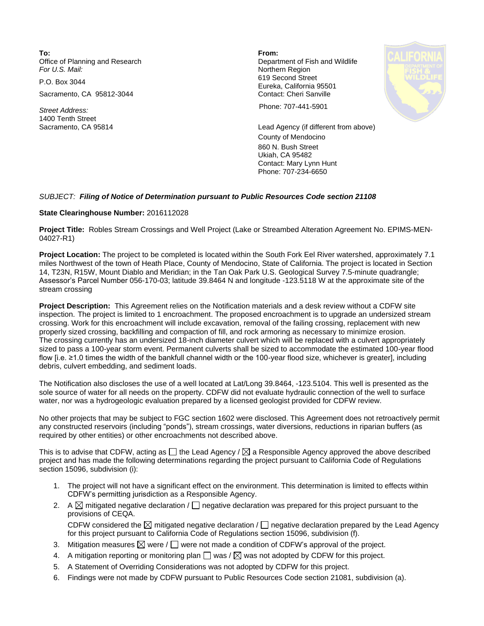**To: From:**  Office of Planning and Research **Department of Fish and Wildlife**<br>
For U.S. Mail: **Department of Fish and Wildlife** 

Sacramento, CA 95812-3044 Contact: Cheri Sanville

1400 Tenth Street

**Northern Region** P.O. Box 3044 619 Second Street Eureka, California 95501



*Street Address:* Phone: 707-441-5901

Sacramento, CA 95814 Lead Agency (if different from above) County of Mendocino 860 N. Bush Street Ukiah, CA 95482 Contact: Mary Lynn Hunt Phone: 707-234-6650

## *SUBJECT: Filing of Notice of Determination pursuant to Public Resources Code section 21108*

## **State Clearinghouse Number:** 2016112028

**Project Title:** Robles Stream Crossings and Well Project (Lake or Streambed Alteration Agreement No. EPIMS-MEN-04027-R1)

**Project Location:** The project to be completed is located within the South Fork Eel River watershed, approximately 7.1 miles Northwest of the town of Heath Place, County of Mendocino, State of California. The project is located in Section 14, T23N, R15W, Mount Diablo and Meridian; in the Tan Oak Park U.S. Geological Survey 7.5-minute quadrangle; Assessor's Parcel Number 056-170-03; latitude 39.8464 N and longitude -123.5118 W at the approximate site of the stream crossing

**Project Description:** This Agreement relies on the Notification materials and a desk review without a CDFW site inspection. The project is limited to 1 encroachment. The proposed encroachment is to upgrade an undersized stream crossing. Work for this encroachment will include excavation, removal of the failing crossing, replacement with new properly sized crossing, backfilling and compaction of fill, and rock armoring as necessary to minimize erosion. The crossing currently has an undersized 18-inch diameter culvert which will be replaced with a culvert appropriately sized to pass a 100-year storm event. Permanent culverts shall be sized to accommodate the estimated 100-year flood flow [i.e. ≥1.0 times the width of the bankfull channel width or the 100-year flood size, whichever is greater], including debris, culvert embedding, and sediment loads.

The Notification also discloses the use of a well located at Lat/Long 39.8464, -123.5104. This well is presented as the sole source of water for all needs on the property. CDFW did not evaluate hydraulic connection of the well to surface water, nor was a hydrogeologic evaluation prepared by a licensed geologist provided for CDFW review.

No other projects that may be subject to FGC section 1602 were disclosed. This Agreement does not retroactively permit any constructed reservoirs (including "ponds"), stream crossings, water diversions, reductions in riparian buffers (as required by other entities) or other encroachments not described above.

This is to advise that CDFW, acting as  $\Box$  the Lead Agency /  $\boxtimes$  a Responsible Agency approved the above described project and has made the following determinations regarding the project pursuant to California Code of Regulations section 15096, subdivision (i):

- 1. The project will not have a significant effect on the environment. This determination is limited to effects within CDFW's permitting jurisdiction as a Responsible Agency.
- 2. A  $\boxtimes$  mitigated negative declaration /  $\Box$  negative declaration was prepared for this project pursuant to the provisions of CEQA. CDFW considered the  $\boxtimes$  mitigated negative declaration /  $\Box$  negative declaration prepared by the Lead Agency

for this project pursuant to California Code of Regulations section 15096, subdivision (f).

- 3. Mitigation measures  $\boxtimes$  were /  $\Box$  were not made a condition of CDFW's approval of the project.
- 4. A mitigation reporting or monitoring plan  $\square$  was /  $\boxtimes$  was not adopted by CDFW for this project.
- 5. A Statement of Overriding Considerations was not adopted by CDFW for this project.
- 6. Findings were not made by CDFW pursuant to Public Resources Code section 21081, subdivision (a).